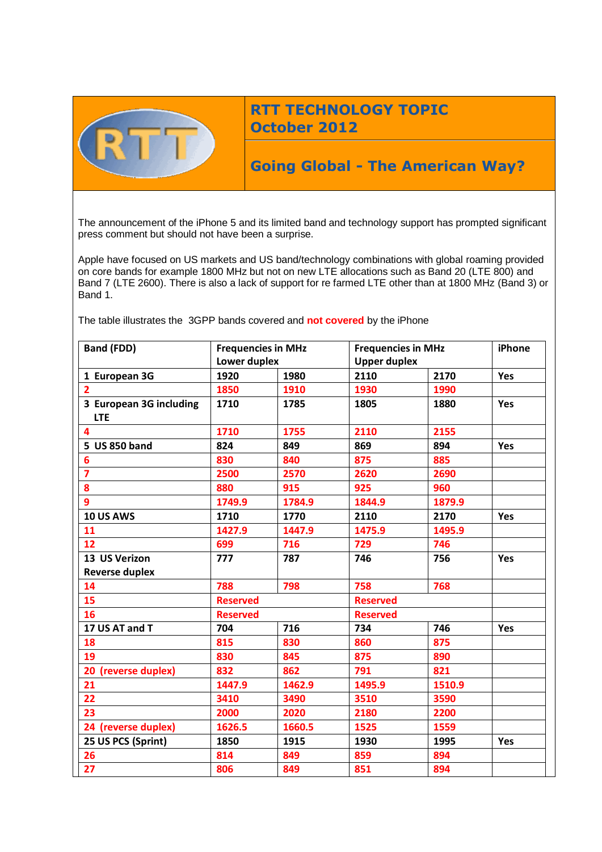

## **RTT TECHNOLOGY TOPIC October 2012**

# **Going Global - The American Way?**

The announcement of the iPhone 5 and its limited band and technology support has prompted significant press comment but should not have been a surprise.

Apple have focused on US markets and US band/technology combinations with global roaming provided on core bands for example 1800 MHz but not on new LTE allocations such as Band 20 (LTE 800) and Band 7 (LTE 2600). There is also a lack of support for re farmed LTE other than at 1800 MHz (Band 3) or Band 1.

The table illustrates the 3GPP bands covered and **not covered** by the iPhone

| <b>Band (FDD)</b>       | <b>Frequencies in MHz</b><br>Lower duplex |        | <b>Frequencies in MHz</b> |        | iPhone     |
|-------------------------|-------------------------------------------|--------|---------------------------|--------|------------|
|                         |                                           |        | <b>Upper duplex</b>       |        |            |
| 1 European 3G           | 1920                                      | 1980   | 2110                      | 2170   | Yes        |
| $\overline{2}$          | 1850                                      | 1910   | 1930                      | 1990   |            |
| 3 European 3G including | 1710                                      | 1785   | 1805                      | 1880   | Yes        |
| <b>LTE</b>              |                                           |        |                           |        |            |
| 4                       | 1710                                      | 1755   | 2110                      | 2155   |            |
| 5 US 850 band           | 824                                       | 849    | 869                       | 894    | Yes        |
| 6                       | 830                                       | 840    | 875                       | 885    |            |
| $\overline{7}$          | 2500                                      | 2570   | 2620                      | 2690   |            |
| 8                       | 880                                       | 915    | 925                       | 960    |            |
| 9                       | 1749.9                                    | 1784.9 | 1844.9                    | 1879.9 |            |
| <b>10 US AWS</b>        | 1710                                      | 1770   | 2110                      | 2170   | <b>Yes</b> |
| 11                      | 1427.9                                    | 1447.9 | 1475.9                    | 1495.9 |            |
| 12                      | 699                                       | 716    | 729                       | 746    |            |
| 13 US Verizon           | 777                                       | 787    | 746                       | 756    | <b>Yes</b> |
| <b>Reverse duplex</b>   |                                           |        |                           |        |            |
| 14                      | 788                                       | 798    | 758                       | 768    |            |
| 15                      | <b>Reserved</b>                           |        | <b>Reserved</b>           |        |            |
| 16                      | <b>Reserved</b>                           |        | <b>Reserved</b>           |        |            |
| 17 US AT and T          | 704                                       | 716    | 734                       | 746    | Yes        |
| 18                      | 815                                       | 830    | 860                       | 875    |            |
| 19                      | 830                                       | 845    | 875                       | 890    |            |
| 20 (reverse duplex)     | 832                                       | 862    | 791                       | 821    |            |
| 21                      | 1447.9                                    | 1462.9 | 1495.9                    | 1510.9 |            |
| 22                      | 3410                                      | 3490   | 3510                      | 3590   |            |
| 23                      | 2000                                      | 2020   | 2180                      | 2200   |            |
| 24 (reverse duplex)     | 1626.5                                    | 1660.5 | 1525                      | 1559   |            |
| 25 US PCS (Sprint)      | 1850                                      | 1915   | 1930                      | 1995   | Yes        |
| 26                      | 814                                       | 849    | 859                       | 894    |            |
| 27                      | 806                                       | 849    | 851                       | 894    |            |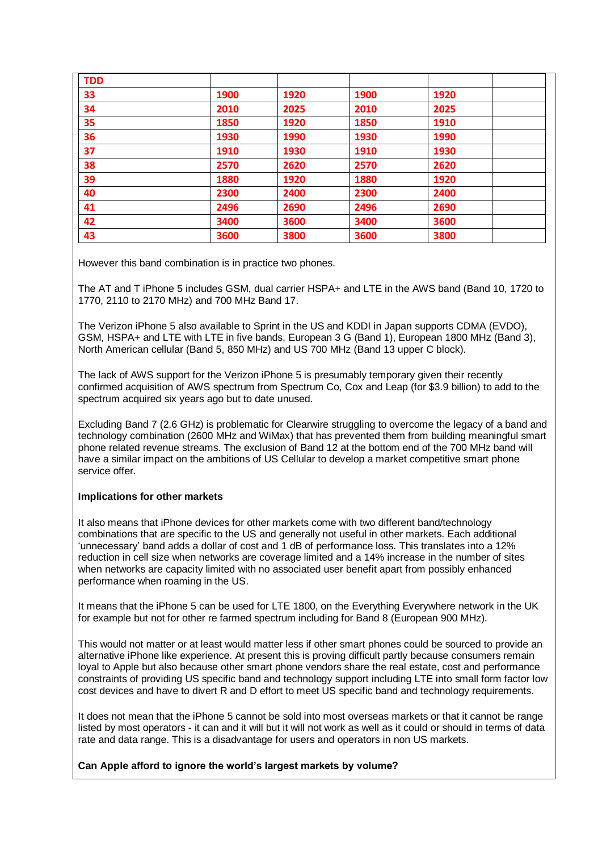| <b>TDD</b> |      |      |      |      |  |
|------------|------|------|------|------|--|
| 33         | 1900 | 1920 | 1900 | 1920 |  |
| 34         | 2010 | 2025 | 2010 | 2025 |  |
| 35         | 1850 | 1920 | 1850 | 1910 |  |
| 36         | 1930 | 1990 | 1930 | 1990 |  |
| 37         | 1910 | 1930 | 1910 | 1930 |  |
| 38         | 2570 | 2620 | 2570 | 2620 |  |
| 39         | 1880 | 1920 | 1880 | 1920 |  |
| 40         | 2300 | 2400 | 2300 | 2400 |  |
| 41         | 2496 | 2690 | 2496 | 2690 |  |
| 42         | 3400 | 3600 | 3400 | 3600 |  |
| 43         | 3600 | 3800 | 3600 | 3800 |  |

However this band combination is in practice two phones.

The AT and T iPhone 5 includes GSM, dual carrier HSPA+ and LTE in the AWS band (Band 10, 1720 to 1770, 2110 to 2170 MHz) and 700 MHz Band 17.

The Verizon iPhone 5 also available to Sprint in the US and KDDI in Japan supports CDMA (EVDO), GSM, HSPA+ and LTE with LTE in five bands, European 3 G (Band 1), European 1800 MHz (Band 3), North American cellular (Band 5, 850 MHz) and US 700 MHz (Band 13 upper C block).

The lack of AWS support for the Verizon iPhone 5 is presumably temporary given their recently confirmed acquisition of AWS spectrum from Spectrum Co, Cox and Leap (for \$3.9 billion) to add to the spectrum acquired six years ago but to date unused.

Excluding Band 7 (2.6 GHz) is problematic for Clearwire struggling to overcome the legacy of a band and technology combination (2600 MHz and WiMax) that has prevented them from building meaningful smart phone related revenue streams. The exclusion of Band 12 at the bottom end of the 700 MHz band will have a similar impact on the ambitions of US Cellular to develop a market competitive smart phone service offer.

#### **Implications for other markets**

It also means that iPhone devices for other markets come with two different band/technology combinations that are specific to the US and generally not useful in other markets. Each additional 'unnecessary' band adds a dollar of cost and 1 dB of performance loss. This translates into a 12% reduction in cell size when networks are coverage limited and a 14% increase in the number of sites when networks are capacity limited with no associated user benefit apart from possibly enhanced performance when roaming in the US.

It means that the iPhone 5 can be used for LTE 1800, on the Everything Everywhere network in the UK for example but not for other re farmed spectrum including for Band 8 (European 900 MHz).

This would not matter or at least would matter less if other smart phones could be sourced to provide an alternative iPhone like experience. At present this is proving difficult partly because consumers remain loyal to Apple but also because other smart phone vendors share the real estate, cost and performance constraints of providing US specific band and technology support including LTE into small form factor low cost devices and have to divert R and D effort to meet US specific band and technology requirements.

It does not mean that the iPhone 5 cannot be sold into most overseas markets or that it cannot be range listed by most operators - it can and it will but it will not work as well as it could or should in terms of data rate and data range. This is a disadvantage for users and operators in non US markets.

#### **Can Apple afford to ignore the world's largest markets by volume?**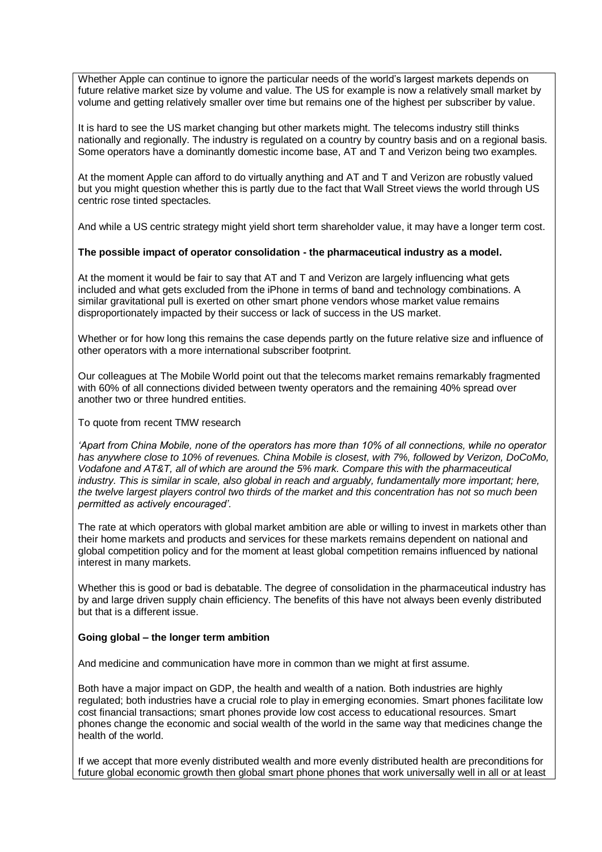Whether Apple can continue to ignore the particular needs of the world's largest markets depends on future relative market size by volume and value. The US for example is now a relatively small market by volume and getting relatively smaller over time but remains one of the highest per subscriber by value.

It is hard to see the US market changing but other markets might. The telecoms industry still thinks nationally and regionally. The industry is regulated on a country by country basis and on a regional basis. Some operators have a dominantly domestic income base, AT and T and Verizon being two examples.

At the moment Apple can afford to do virtually anything and AT and T and Verizon are robustly valued but you might question whether this is partly due to the fact that Wall Street views the world through US centric rose tinted spectacles.

And while a US centric strategy might yield short term shareholder value, it may have a longer term cost.

#### **The possible impact of operator consolidation - the pharmaceutical industry as a model.**

At the moment it would be fair to say that AT and T and Verizon are largely influencing what gets included and what gets excluded from the iPhone in terms of band and technology combinations. A similar gravitational pull is exerted on other smart phone vendors whose market value remains disproportionately impacted by their success or lack of success in the US market.

Whether or for how long this remains the case depends partly on the future relative size and influence of other operators with a more international subscriber footprint.

Our colleagues at The Mobile World point out that the telecoms market remains remarkably fragmented with 60% of all connections divided between twenty operators and the remaining 40% spread over another two or three hundred entities.

To quote from recent TMW research

*'Apart from China Mobile, none of the operators has more than 10% of all connections, while no operator has anywhere close to 10% of revenues. China Mobile is closest, with 7%, followed by Verizon, DoCoMo, Vodafone and AT&T, all of which are around the 5% mark. Compare this with the pharmaceutical industry. This is similar in scale, also global in reach and arguably, fundamentally more important; here, the twelve largest players control two thirds of the market and this concentration has not so much been permitted as actively encouraged'.*

The rate at which operators with global market ambition are able or willing to invest in markets other than their home markets and products and services for these markets remains dependent on national and global competition policy and for the moment at least global competition remains influenced by national interest in many markets.

Whether this is good or bad is debatable. The degree of consolidation in the pharmaceutical industry has by and large driven supply chain efficiency. The benefits of this have not always been evenly distributed but that is a different issue.

#### **Going global – the longer term ambition**

And medicine and communication have more in common than we might at first assume.

Both have a major impact on GDP, the health and wealth of a nation. Both industries are highly regulated; both industries have a crucial role to play in emerging economies. Smart phones facilitate low cost financial transactions; smart phones provide low cost access to educational resources. Smart phones change the economic and social wealth of the world in the same way that medicines change the health of the world.

If we accept that more evenly distributed wealth and more evenly distributed health are preconditions for future global economic growth then global smart phone phones that work universally well in all or at least